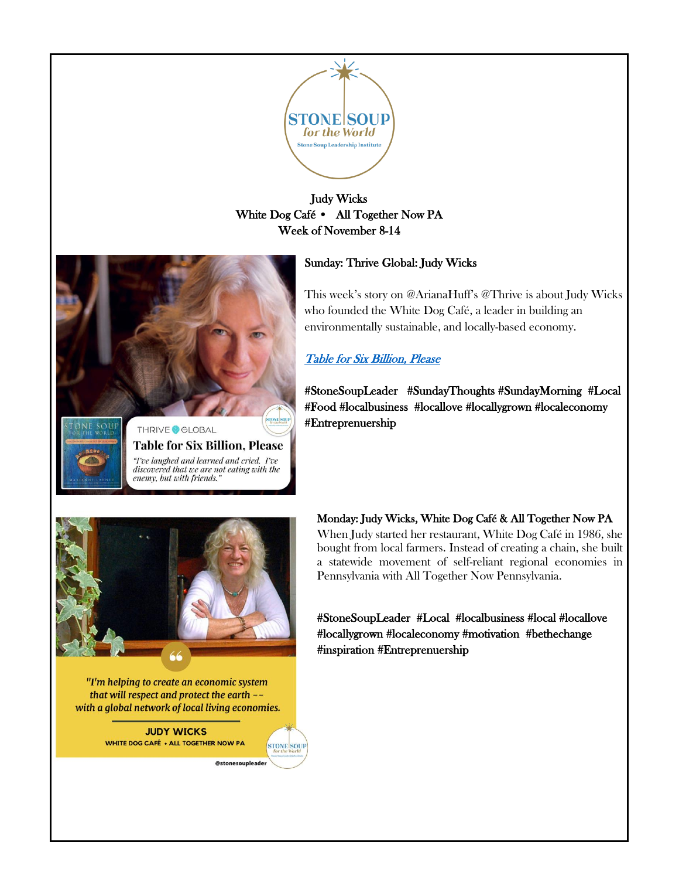

## Judy Wicks White Dog Café • All Together Now PA Week of November 8-14





**Table for Six Billion, Please** "I've laughed and learned and cried. I've discovered that we are not eating with the enemy, but with friends."

## Sunday: Thrive Global: Judy Wicks

This week's story on @ArianaHuff's @Thrive is about Judy Wicks who founded the White Dog Café, a leader in building an environmentally sustainable, and locally-based economy.

# [Table for Six Billion, Please](https://thriveglobal.com/stories/table-for-six-billion-please/)

#StoneSoupLeader #SundayThoughts #SundayMorning #Local #Food #localbusiness #locallove #locallygrown #localeconomy #Entreprenuership



"I'm helping to create an economic system that will respect and protect the earth -with a global network of local living economies.

> **JUDY WICKS WHITE DOG CAFÉ · ALL TOGETHER NOW PA**

> > @stonesoupleader

**STONE SOUP** 

Monday: Judy Wicks, White Dog Café & All Together Now PA When Judy started her restaurant, White Dog Café in 1986, she bought from local farmers. Instead of creating a chain, she built a statewide movement of self-reliant regional economies in Pennsylvania with All Together Now Pennsylvania.

#StoneSoupLeader #Local #localbusiness #local #locallove #locallygrown #localeconomy #motivation #bethechange #inspiration #Entreprenuership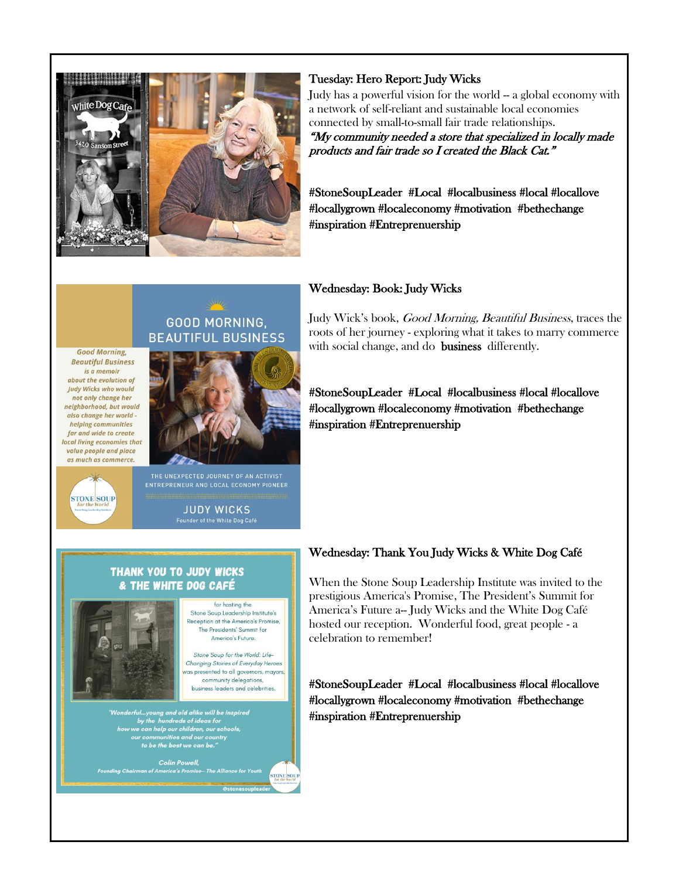

#### Tuesday: Hero Report: Judy Wicks

Judy has a powerful vision for the world -- a global economy with a network of self-reliant and sustainable local economies connected by small-to-small fair trade relationships. "My community needed a store that specialized in locally made products and fair trade so I created the Black Cat."

#StoneSoupLeader #Local #localbusiness #local #locallove #locallygrown #localeconomy #motivation #bethechange #inspiration #Entreprenuership

# **GOOD MORNING. BEAUTIFUL BUSINESS**



THE UNEXPECTED JOURNEY OF AN ACTIVIST<br>ENTREPRENEUR AND LOCAL ECONOMY PIONEER

**JUDY WICKS** 

#### Wednesday: Book: Judy Wicks

Judy Wick's book, Good Morning, Beautiful Business, traces the roots of her journey - exploring what it takes to marry commerce with social change, and do business differently.

#StoneSoupLeader #Local #localbusiness #local #locallove #locallygrown #localeconomy #motivation #bethechange #inspiration #Entreprenuership



**Good Morning, Beautiful Business** is a memoir about the evolution of **Judy Wicks who would** not only change her neighborhood, but would also change her world helping communities far and wide to create local living economies that value people and place as much as commerce.

#### **THANK YOU TO JUDY WICKS** & THE WHITE DOG CAFÉ

for hosting the Stone Soup Leadership Institute's Reception at the America's Promise, The Presidents' Summit for America's Future

Stone Soup for the World: Life-Changing Stories of Everyday Heroes as presented to all governors, mayors, community delegations, business leaders and celebrities

ful...young and old alike will be inspired<br>by the hundreds of ideas for<br>we can help our children, our schools,<br>our communities and our country<br>to be the best we can be."

#### Wednesday: Thank You Judy Wicks & White Dog Café

When the Stone Soup Leadership Institute was invited to the prestigious America's Promise, The President's Summit for America's Future a-- Judy Wicks and the White Dog Café hosted our reception. Wonderful food, great people - a celebration to remember!

#StoneSoupLeader #Local #localbusiness #local #locallove #locallygrown #localeconomy #motivation #bethechange #inspiration #Entreprenuership